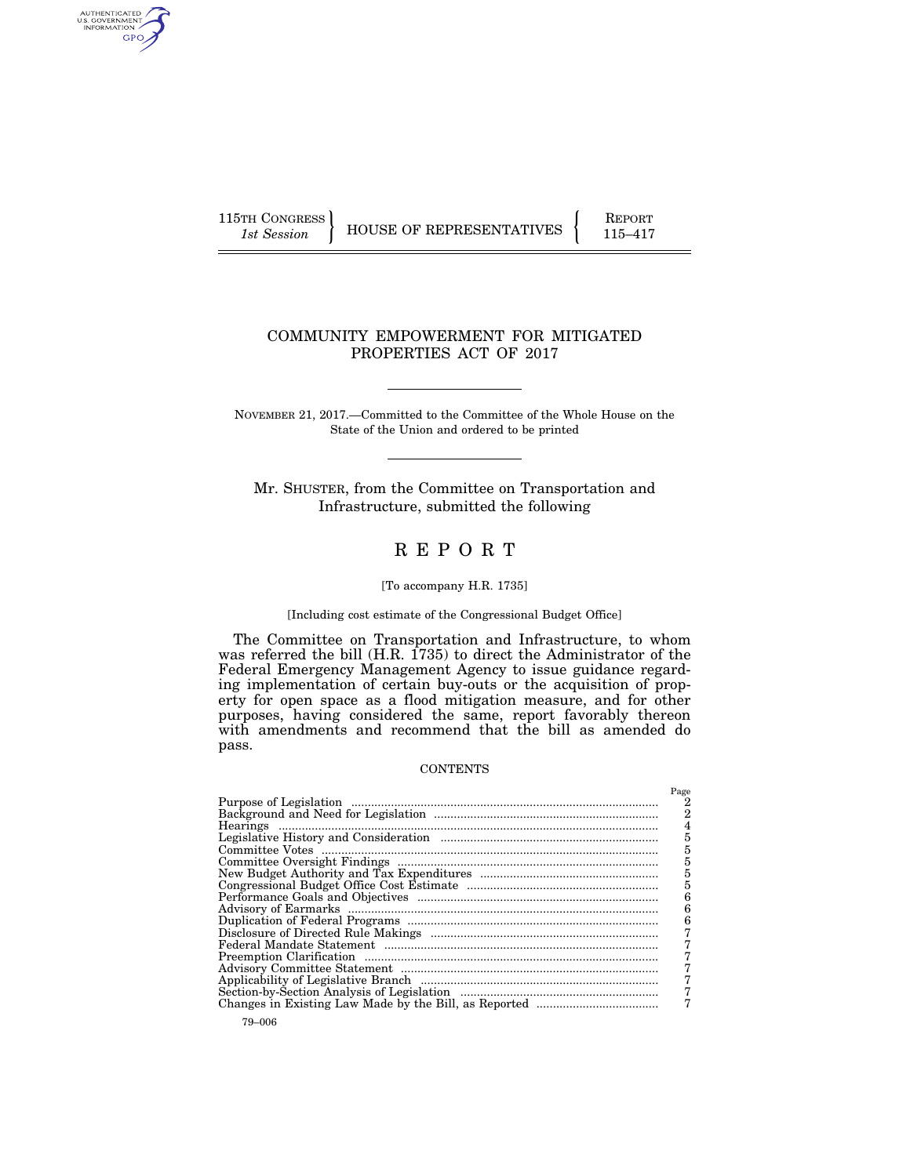AUTHENTICATED<br>U.S. GOVERNMENT<br>INFORMATION GPO

115TH CONGRESS HOUSE OF REPRESENTATIVES FEPORT 115–417

# COMMUNITY EMPOWERMENT FOR MITIGATED PROPERTIES ACT OF 2017

NOVEMBER 21, 2017.—Committed to the Committee of the Whole House on the State of the Union and ordered to be printed

Mr. SHUSTER, from the Committee on Transportation and Infrastructure, submitted the following

# R E P O R T

#### [To accompany H.R. 1735]

#### [Including cost estimate of the Congressional Budget Office]

The Committee on Transportation and Infrastructure, to whom was referred the bill (H.R. 1735) to direct the Administrator of the Federal Emergency Management Agency to issue guidance regarding implementation of certain buy-outs or the acquisition of property for open space as a flood mitigation measure, and for other purposes, having considered the same, report favorably thereon with amendments and recommend that the bill as amended do pass.

#### **CONTENTS**

| Page           |
|----------------|
|                |
| $\overline{2}$ |
|                |
| $\overline{5}$ |
| 5              |
| 5              |
| $\overline{5}$ |
| 5              |
| 6              |
| 6              |
| 6              |
|                |
|                |
|                |
|                |
|                |
|                |
|                |
|                |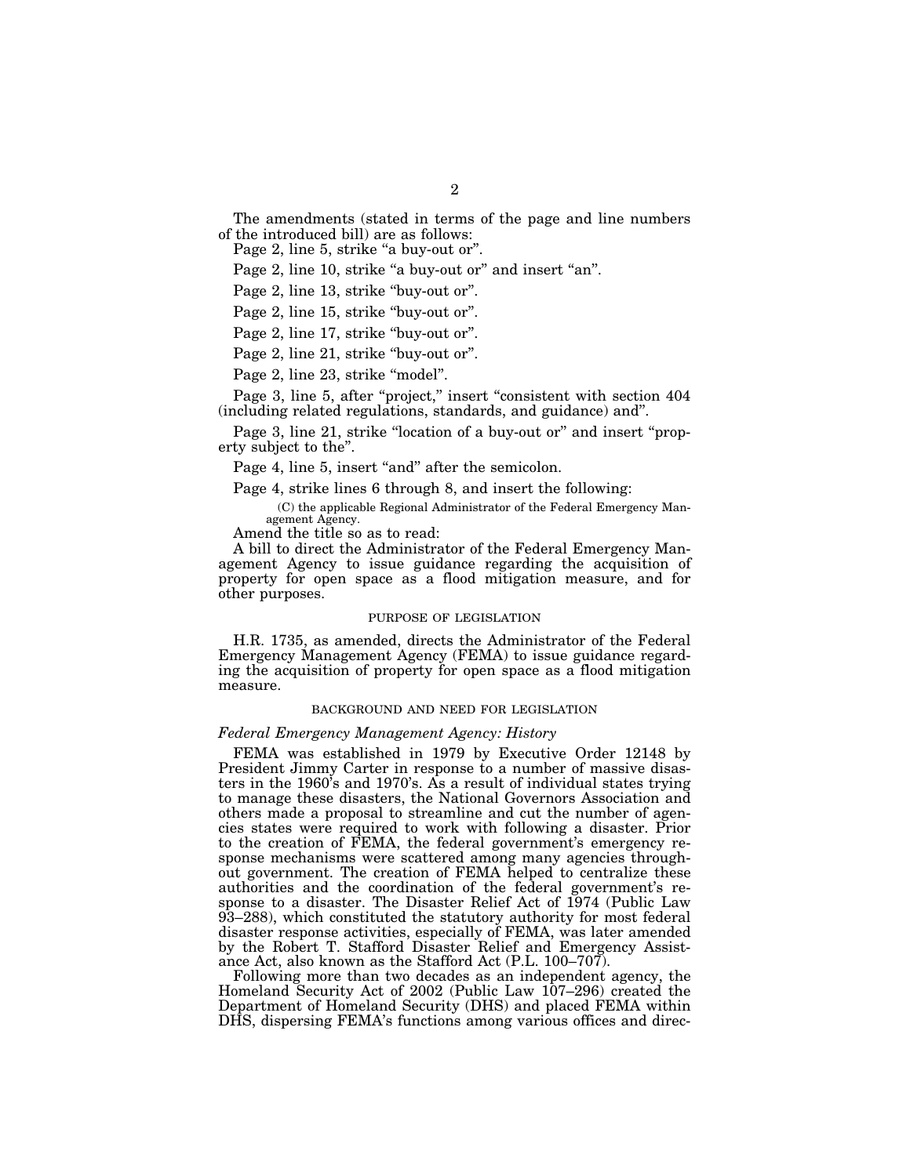The amendments (stated in terms of the page and line numbers of the introduced bill) are as follows:

Page 2, line 5, strike "a buy-out or".

Page 2, line 10, strike "a buy-out or" and insert "an".

Page 2, line 13, strike "buy-out or".

Page 2, line 15, strike "buy-out or".

Page 2, line 17, strike "buy-out or".

Page 2, line 21, strike "buy-out or".

Page 2, line 23, strike "model".

Page 3, line 5, after "project," insert "consistent with section 404 (including related regulations, standards, and guidance) and''.

Page 3, line 21, strike "location of a buy-out or" and insert "property subject to the''.

Page 4, line 5, insert "and" after the semicolon.

Page 4, strike lines 6 through 8, and insert the following:

(C) the applicable Regional Administrator of the Federal Emergency Management Agency.

Amend the title so as to read:

A bill to direct the Administrator of the Federal Emergency Management Agency to issue guidance regarding the acquisition of property for open space as a flood mitigation measure, and for other purposes.

#### PURPOSE OF LEGISLATION

H.R. 1735, as amended, directs the Administrator of the Federal Emergency Management Agency (FEMA) to issue guidance regarding the acquisition of property for open space as a flood mitigation measure.

#### BACKGROUND AND NEED FOR LEGISLATION

# *Federal Emergency Management Agency: History*

FEMA was established in 1979 by Executive Order 12148 by President Jimmy Carter in response to a number of massive disasters in the 1960's and 1970's. As a result of individual states trying to manage these disasters, the National Governors Association and others made a proposal to streamline and cut the number of agencies states were required to work with following a disaster. Prior to the creation of FEMA, the federal government's emergency response mechanisms were scattered among many agencies throughout government. The creation of FEMA helped to centralize these authorities and the coordination of the federal government's response to a disaster. The Disaster Relief Act of 1974 (Public Law 93–288), which constituted the statutory authority for most federal disaster response activities, especially of FEMA, was later amended by the Robert T. Stafford Disaster Relief and Emergency Assistance Act, also known as the Stafford Act (P.L. 100–707).

Following more than two decades as an independent agency, the Homeland Security Act of 2002 (Public Law 107–296) created the Department of Homeland Security (DHS) and placed FEMA within DHS, dispersing FEMA's functions among various offices and direc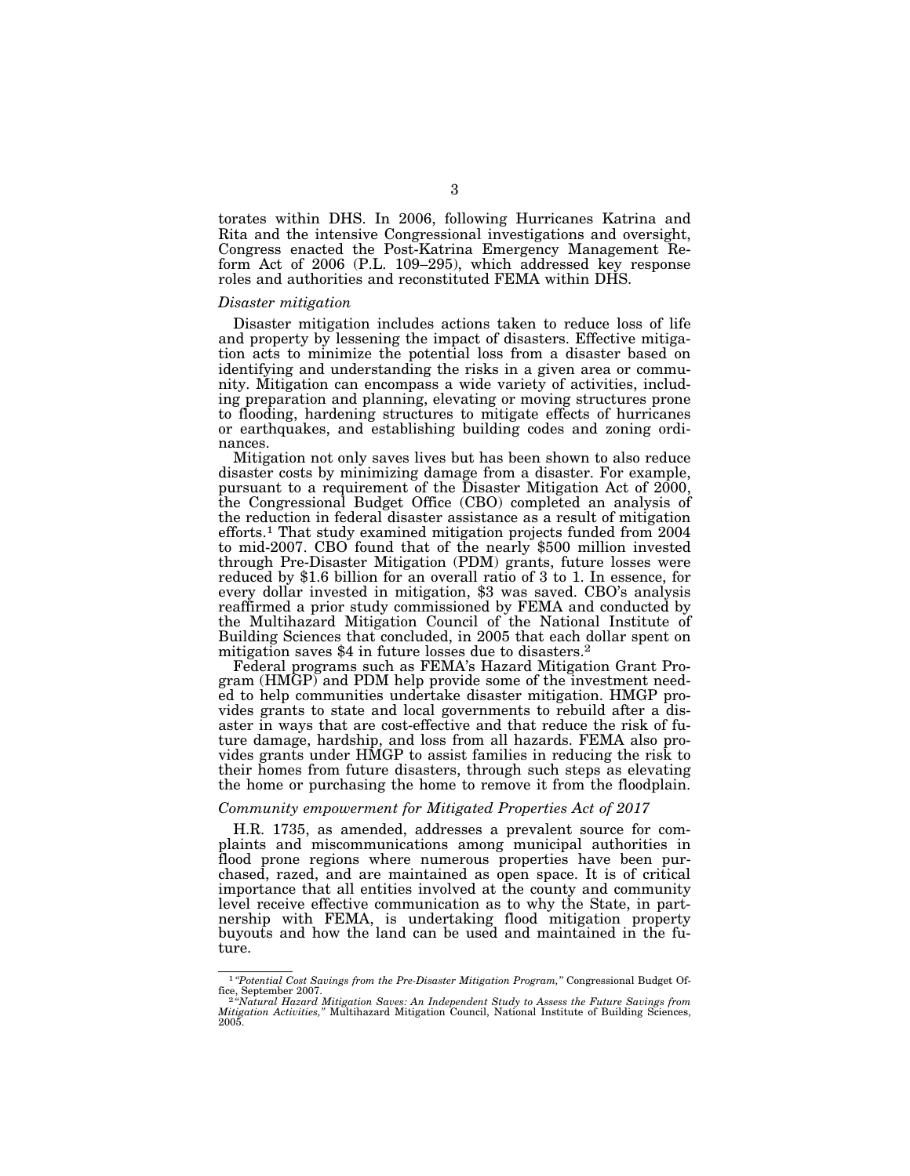torates within DHS. In 2006, following Hurricanes Katrina and Rita and the intensive Congressional investigations and oversight, Congress enacted the Post-Katrina Emergency Management Reform Act of 2006 (P.L. 109–295), which addressed key response roles and authorities and reconstituted FEMA within DHS.

#### *Disaster mitigation*

Disaster mitigation includes actions taken to reduce loss of life and property by lessening the impact of disasters. Effective mitigation acts to minimize the potential loss from a disaster based on identifying and understanding the risks in a given area or community. Mitigation can encompass a wide variety of activities, including preparation and planning, elevating or moving structures prone to flooding, hardening structures to mitigate effects of hurricanes or earthquakes, and establishing building codes and zoning ordinances.

Mitigation not only saves lives but has been shown to also reduce disaster costs by minimizing damage from a disaster. For example, pursuant to a requirement of the Disaster Mitigation Act of 2000, the Congressional Budget Office (CBO) completed an analysis of the reduction in federal disaster assistance as a result of mitigation efforts.1 That study examined mitigation projects funded from 2004 to mid-2007. CBO found that of the nearly \$500 million invested through Pre-Disaster Mitigation (PDM) grants, future losses were reduced by \$1.6 billion for an overall ratio of 3 to 1. In essence, for every dollar invested in mitigation, \$3 was saved. CBO's analysis reaffirmed a prior study commissioned by FEMA and conducted by the Multihazard Mitigation Council of the National Institute of Building Sciences that concluded, in 2005 that each dollar spent on mitigation saves \$4 in future losses due to disasters.2

Federal programs such as FEMA's Hazard Mitigation Grant Program (HMGP) and PDM help provide some of the investment needed to help communities undertake disaster mitigation. HMGP provides grants to state and local governments to rebuild after a disaster in ways that are cost-effective and that reduce the risk of future damage, hardship, and loss from all hazards. FEMA also provides grants under HMGP to assist families in reducing the risk to their homes from future disasters, through such steps as elevating the home or purchasing the home to remove it from the floodplain.

### *Community empowerment for Mitigated Properties Act of 2017*

H.R. 1735, as amended, addresses a prevalent source for complaints and miscommunications among municipal authorities in flood prone regions where numerous properties have been purchased, razed, and are maintained as open space. It is of critical importance that all entities involved at the county and community level receive effective communication as to why the State, in partnership with FEMA, is undertaking flood mitigation property buyouts and how the land can be used and maintained in the future.

<sup>1</sup> *''Potential Cost Savings from the Pre-Disaster Mitigation Program,''* Congressional Budget Of-

fice, September 2007.<br><sup>2 s</sup>'Natural Hazard Mitigation Saves: An Independent Study to Assess the Future Savings from<br>Mitigation Activities," Multihazard Mitigation Council, National Institute of Building Sciences, 2005.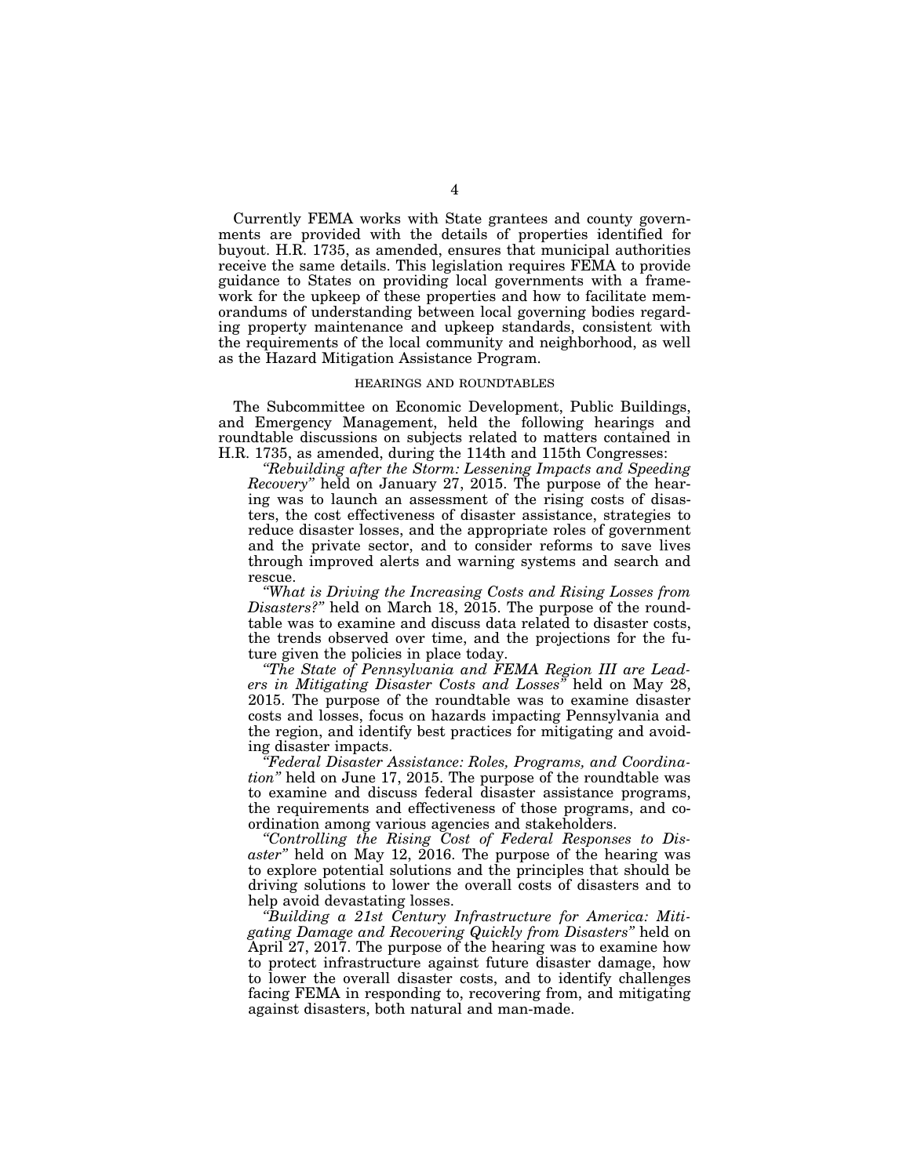Currently FEMA works with State grantees and county governments are provided with the details of properties identified for buyout. H.R. 1735, as amended, ensures that municipal authorities receive the same details. This legislation requires FEMA to provide guidance to States on providing local governments with a framework for the upkeep of these properties and how to facilitate memorandums of understanding between local governing bodies regarding property maintenance and upkeep standards, consistent with the requirements of the local community and neighborhood, as well as the Hazard Mitigation Assistance Program.

#### HEARINGS AND ROUNDTABLES

The Subcommittee on Economic Development, Public Buildings, and Emergency Management, held the following hearings and roundtable discussions on subjects related to matters contained in H.R. 1735, as amended, during the 114th and 115th Congresses:

*''Rebuilding after the Storm: Lessening Impacts and Speeding Recovery*" held on January 27, 2015. The purpose of the hearing was to launch an assessment of the rising costs of disasters, the cost effectiveness of disaster assistance, strategies to reduce disaster losses, and the appropriate roles of government and the private sector, and to consider reforms to save lives through improved alerts and warning systems and search and rescue.

*''What is Driving the Increasing Costs and Rising Losses from Disasters?''* held on March 18, 2015. The purpose of the roundtable was to examine and discuss data related to disaster costs, the trends observed over time, and the projections for the future given the policies in place today.

*''The State of Pennsylvania and FEMA Region III are Leaders in Mitigating Disaster Costs and Losses''* held on May 28, 2015. The purpose of the roundtable was to examine disaster costs and losses, focus on hazards impacting Pennsylvania and the region, and identify best practices for mitigating and avoiding disaster impacts.

*''Federal Disaster Assistance: Roles, Programs, and Coordination''* held on June 17, 2015. The purpose of the roundtable was to examine and discuss federal disaster assistance programs, the requirements and effectiveness of those programs, and coordination among various agencies and stakeholders.

*''Controlling the Rising Cost of Federal Responses to Disaster''* held on May 12, 2016. The purpose of the hearing was to explore potential solutions and the principles that should be driving solutions to lower the overall costs of disasters and to help avoid devastating losses.

*''Building a 21st Century Infrastructure for America: Mitigating Damage and Recovering Quickly from Disasters''* held on April 27, 2017. The purpose of the hearing was to examine how to protect infrastructure against future disaster damage, how to lower the overall disaster costs, and to identify challenges facing FEMA in responding to, recovering from, and mitigating against disasters, both natural and man-made.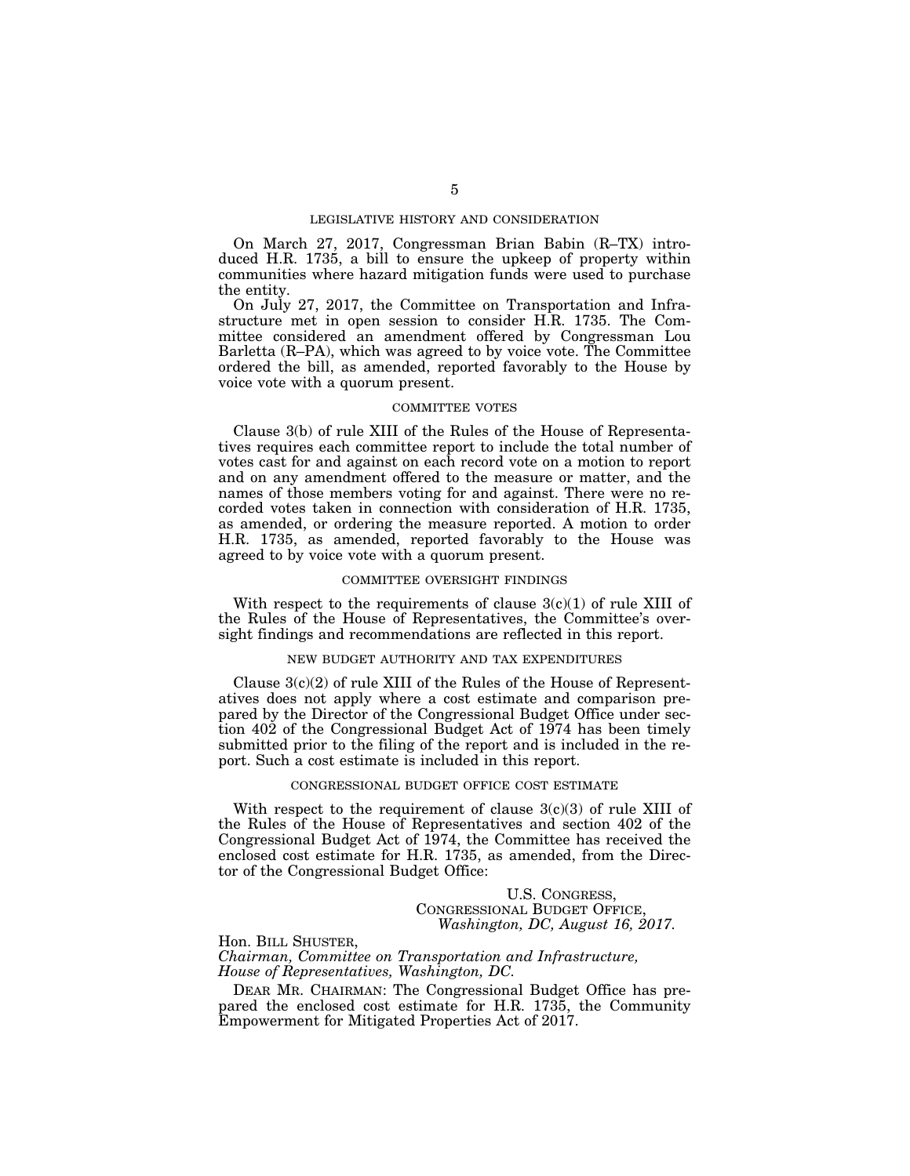#### LEGISLATIVE HISTORY AND CONSIDERATION

On March 27, 2017, Congressman Brian Babin (R–TX) introduced H.R. 1735, a bill to ensure the upkeep of property within communities where hazard mitigation funds were used to purchase the entity.

On July 27, 2017, the Committee on Transportation and Infrastructure met in open session to consider H.R. 1735. The Committee considered an amendment offered by Congressman Lou Barletta (R–PA), which was agreed to by voice vote. The Committee ordered the bill, as amended, reported favorably to the House by voice vote with a quorum present.

#### COMMITTEE VOTES

Clause 3(b) of rule XIII of the Rules of the House of Representatives requires each committee report to include the total number of votes cast for and against on each record vote on a motion to report and on any amendment offered to the measure or matter, and the names of those members voting for and against. There were no recorded votes taken in connection with consideration of H.R. 1735, as amended, or ordering the measure reported. A motion to order H.R. 1735, as amended, reported favorably to the House was agreed to by voice vote with a quorum present.

#### COMMITTEE OVERSIGHT FINDINGS

With respect to the requirements of clause  $3(c)(1)$  of rule XIII of the Rules of the House of Representatives, the Committee's oversight findings and recommendations are reflected in this report.

#### NEW BUDGET AUTHORITY AND TAX EXPENDITURES

Clause  $3(c)(2)$  of rule XIII of the Rules of the House of Representatives does not apply where a cost estimate and comparison prepared by the Director of the Congressional Budget Office under section 402 of the Congressional Budget Act of 1974 has been timely submitted prior to the filing of the report and is included in the report. Such a cost estimate is included in this report.

#### CONGRESSIONAL BUDGET OFFICE COST ESTIMATE

With respect to the requirement of clause  $3(c)(3)$  of rule XIII of the Rules of the House of Representatives and section 402 of the Congressional Budget Act of 1974, the Committee has received the enclosed cost estimate for H.R. 1735, as amended, from the Director of the Congressional Budget Office:

> U.S. CONGRESS, CONGRESSIONAL BUDGET OFFICE, *Washington, DC, August 16, 2017.*

Hon. BILL SHUSTER, *Chairman, Committee on Transportation and Infrastructure, House of Representatives, Washington, DC.* 

DEAR MR. CHAIRMAN: The Congressional Budget Office has prepared the enclosed cost estimate for H.R. 1735, the Community Empowerment for Mitigated Properties Act of 2017.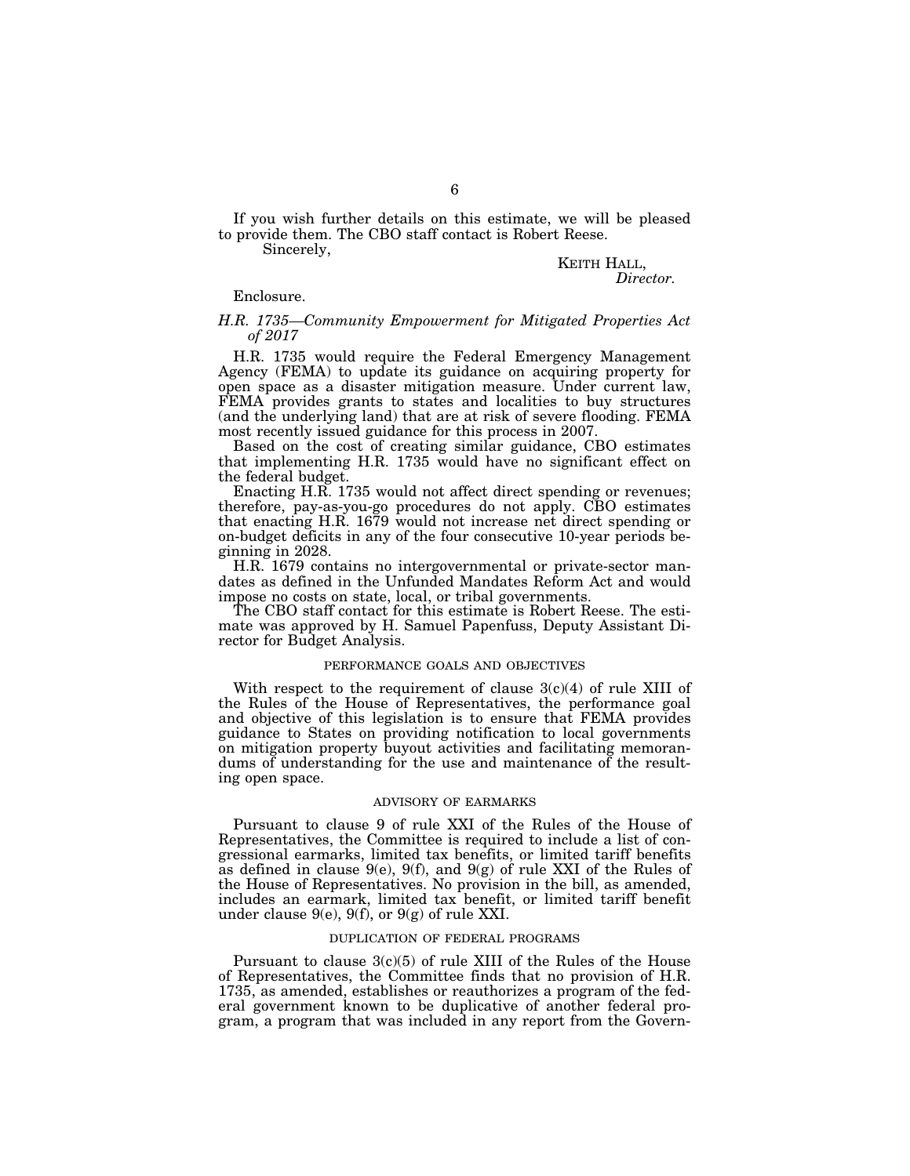If you wish further details on this estimate, we will be pleased to provide them. The CBO staff contact is Robert Reese.

Sincerely,

# KEITH HALL, *Director.*

Enclosure.

### *H.R. 1735—Community Empowerment for Mitigated Properties Act of 2017*

H.R. 1735 would require the Federal Emergency Management Agency (FEMA) to update its guidance on acquiring property for open space as a disaster mitigation measure. Under current law, FEMA provides grants to states and localities to buy structures (and the underlying land) that are at risk of severe flooding. FEMA most recently issued guidance for this process in 2007.

Based on the cost of creating similar guidance, CBO estimates that implementing H.R. 1735 would have no significant effect on the federal budget.

Enacting H.R. 1735 would not affect direct spending or revenues; therefore, pay-as-you-go procedures do not apply. CBO estimates that enacting H.R. 1679 would not increase net direct spending or on-budget deficits in any of the four consecutive 10-year periods beginning in 2028.

H.R. 1679 contains no intergovernmental or private-sector mandates as defined in the Unfunded Mandates Reform Act and would impose no costs on state, local, or tribal governments.

The CBO staff contact for this estimate is Robert Reese. The estimate was approved by H. Samuel Papenfuss, Deputy Assistant Director for Budget Analysis.

#### PERFORMANCE GOALS AND OBJECTIVES

With respect to the requirement of clause  $3(c)(4)$  of rule XIII of the Rules of the House of Representatives, the performance goal and objective of this legislation is to ensure that FEMA provides guidance to States on providing notification to local governments on mitigation property buyout activities and facilitating memorandums of understanding for the use and maintenance of the resulting open space.

# ADVISORY OF EARMARKS

Pursuant to clause 9 of rule XXI of the Rules of the House of Representatives, the Committee is required to include a list of congressional earmarks, limited tax benefits, or limited tariff benefits as defined in clause  $9(e)$ ,  $9(f)$ , and  $9(g)$  of rule XXI of the Rules of the House of Representatives. No provision in the bill, as amended, includes an earmark, limited tax benefit, or limited tariff benefit under clause 9(e), 9(f), or 9(g) of rule XXI.

#### DUPLICATION OF FEDERAL PROGRAMS

Pursuant to clause 3(c)(5) of rule XIII of the Rules of the House of Representatives, the Committee finds that no provision of H.R. 1735, as amended, establishes or reauthorizes a program of the federal government known to be duplicative of another federal program, a program that was included in any report from the Govern